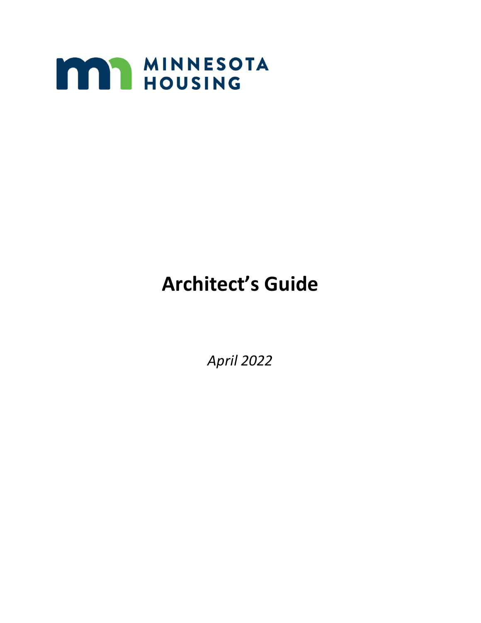

# **Architect's Guide**

*April 2022*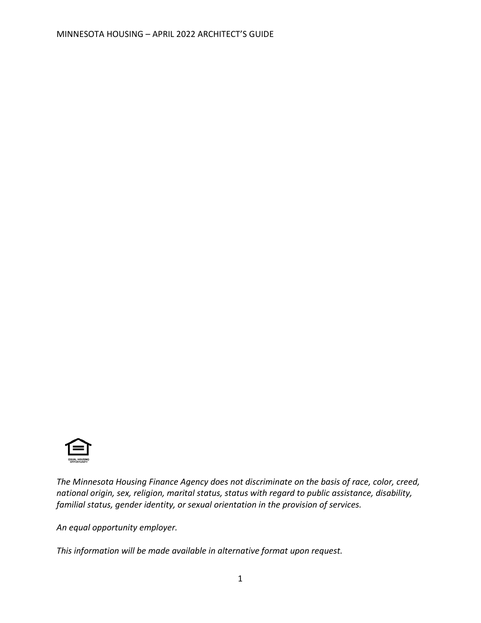

*The Minnesota Housing Finance Agency does not discriminate on the basis of race, color, creed, national origin, sex, religion, marital status, status with regard to public assistance, disability, familial status, gender identity, or sexual orientation in the provision of services.*

*An equal opportunity employer.*

*This information will be made available in alternative format upon request.*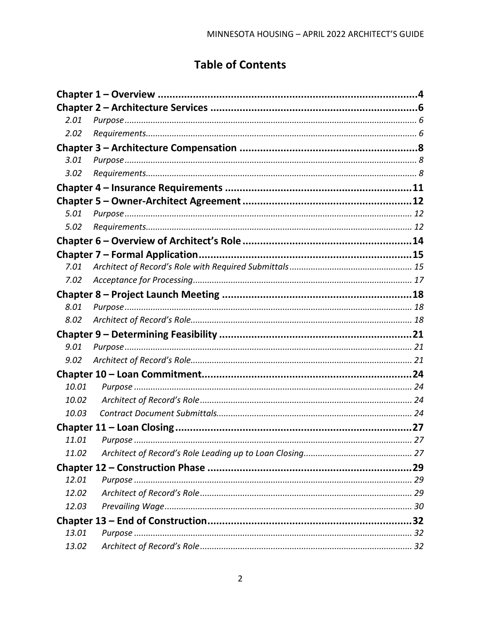# **Table of Contents**

| 2.01  |               |  |
|-------|---------------|--|
| 2.02  |               |  |
|       |               |  |
| 3.01  |               |  |
| 3.02  |               |  |
|       |               |  |
|       |               |  |
| 5.01  |               |  |
| 5.02  |               |  |
|       |               |  |
|       |               |  |
| 7.01  |               |  |
| 7.02  |               |  |
|       |               |  |
| 8.01  |               |  |
| 8.02  |               |  |
|       |               |  |
| 9.01  |               |  |
| 9.02  |               |  |
|       |               |  |
| 10.01 |               |  |
| 10.02 |               |  |
| 10.03 |               |  |
|       |               |  |
|       | 11.01 Purpose |  |
| 11.02 |               |  |
|       |               |  |
| 12.01 |               |  |
| 12.02 |               |  |
| 12.03 |               |  |
|       |               |  |
| 13.01 |               |  |
| 13.02 |               |  |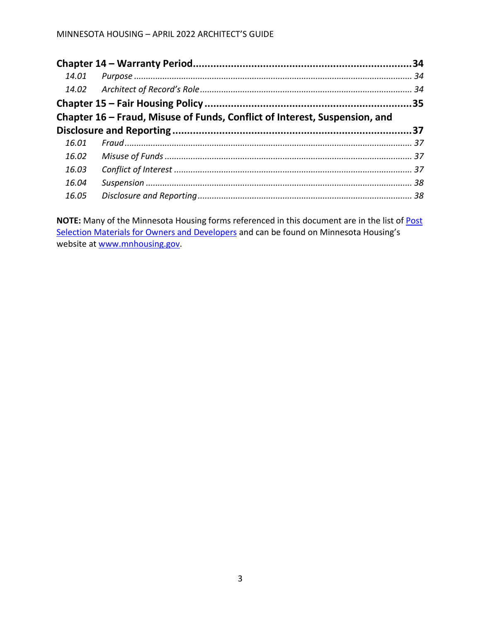| 14.01 |                                                                            |  |
|-------|----------------------------------------------------------------------------|--|
|       |                                                                            |  |
|       |                                                                            |  |
|       | Chapter 16 – Fraud, Misuse of Funds, Conflict of Interest, Suspension, and |  |
|       |                                                                            |  |
| 16.01 |                                                                            |  |
| 16.02 |                                                                            |  |
| 16.03 |                                                                            |  |
| 16.04 |                                                                            |  |
| 16.05 |                                                                            |  |

**NOTE:** Many of the Minnesota Housing forms referenced in this document are in the list o[f Post](https://www.mnhousing.gov/sites/multifamily/postselection/developers)  [Selection Materials for Owners and Developers](https://www.mnhousing.gov/sites/multifamily/postselection/developers) and can be found on Minnesota Housing's website at [www.mnhousing.gov.](https://www.mnhousing.gov/sites/np/home)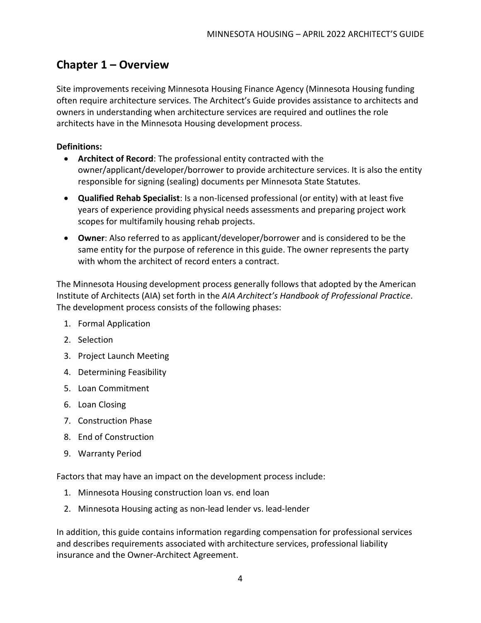## <span id="page-5-0"></span>**Chapter 1 – Overview**

Site improvements receiving Minnesota Housing Finance Agency (Minnesota Housing funding often require architecture services. The Architect's Guide provides assistance to architects and owners in understanding when architecture services are required and outlines the role architects have in the Minnesota Housing development process.

#### **Definitions:**

- **Architect of Record**: The professional entity contracted with the owner/applicant/developer/borrower to provide architecture services. It is also the entity responsible for signing (sealing) documents per Minnesota State Statutes.
- **Qualified Rehab Specialist**: Is a non-licensed professional (or entity) with at least five years of experience providing physical needs assessments and preparing project work scopes for multifamily housing rehab projects.
- **Owner**: Also referred to as applicant/developer/borrower and is considered to be the same entity for the purpose of reference in this guide. The owner represents the party with whom the architect of record enters a contract.

The Minnesota Housing development process generally follows that adopted by the American Institute of Architects (AIA) set forth in the *AIA Architect's Handbook of Professional Practice*. The development process consists of the following phases:

- 1. Formal Application
- 2. Selection
- 3. Project Launch Meeting
- 4. Determining Feasibility
- 5. Loan Commitment
- 6. Loan Closing
- 7. Construction Phase
- 8. End of Construction
- 9. Warranty Period

Factors that may have an impact on the development process include:

- 1. Minnesota Housing construction loan vs. end loan
- 2. Minnesota Housing acting as non-lead lender vs. lead-lender

In addition, this guide contains information regarding compensation for professional services and describes requirements associated with architecture services, professional liability insurance and the Owner-Architect Agreement.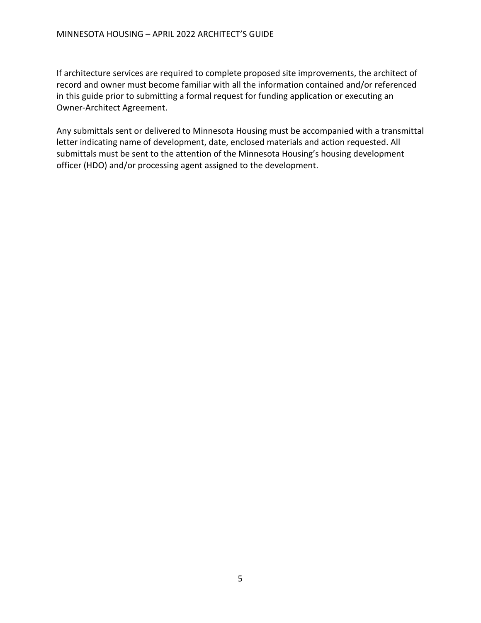If architecture services are required to complete proposed site improvements, the architect of record and owner must become familiar with all the information contained and/or referenced in this guide prior to submitting a formal request for funding application or executing an Owner-Architect Agreement.

Any submittals sent or delivered to Minnesota Housing must be accompanied with a transmittal letter indicating name of development, date, enclosed materials and action requested. All submittals must be sent to the attention of the Minnesota Housing's housing development officer (HDO) and/or processing agent assigned to the development.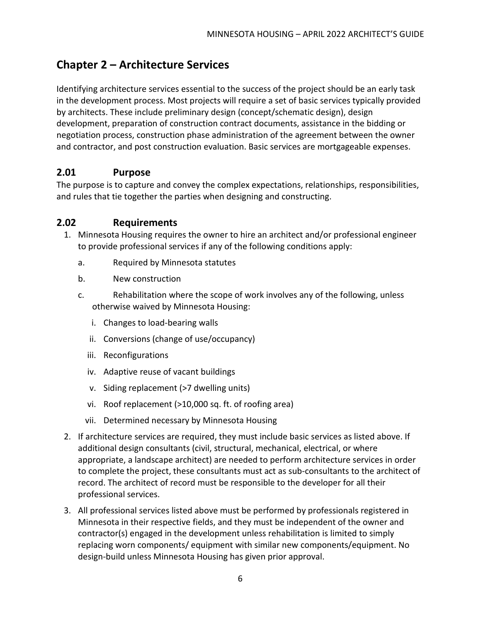# <span id="page-7-0"></span>**Chapter 2 – Architecture Services**

Identifying architecture services essential to the success of the project should be an early task in the development process. Most projects will require a set of basic services typically provided by architects. These include preliminary design (concept/schematic design), design development, preparation of construction contract documents, assistance in the bidding or negotiation process, construction phase administration of the agreement between the owner and contractor, and post construction evaluation. Basic services are mortgageable expenses.

#### <span id="page-7-1"></span>**2.01 Purpose**

The purpose is to capture and convey the complex expectations, relationships, responsibilities, and rules that tie together the parties when designing and constructing.

#### <span id="page-7-2"></span>**2.02 Requirements**

- 1. Minnesota Housing requires the owner to hire an architect and/or professional engineer to provide professional services if any of the following conditions apply:
	- a. Required by Minnesota statutes
	- b. New construction
	- c. Rehabilitation where the scope of work involves any of the following, unless otherwise waived by Minnesota Housing:
		- i. Changes to load-bearing walls
		- ii. Conversions (change of use/occupancy)
		- iii. Reconfigurations
		- iv. Adaptive reuse of vacant buildings
		- v. Siding replacement (>7 dwelling units)
		- vi. Roof replacement (>10,000 sq. ft. of roofing area)
		- vii. Determined necessary by Minnesota Housing
- 2. If architecture services are required, they must include basic services as listed above. If additional design consultants (civil, structural, mechanical, electrical, or where appropriate, a landscape architect) are needed to perform architecture services in order to complete the project, these consultants must act as sub-consultants to the architect of record. The architect of record must be responsible to the developer for all their professional services.
- 3. All professional services listed above must be performed by professionals registered in Minnesota in their respective fields, and they must be independent of the owner and contractor(s) engaged in the development unless rehabilitation is limited to simply replacing worn components/ equipment with similar new components/equipment. No design-build unless Minnesota Housing has given prior approval.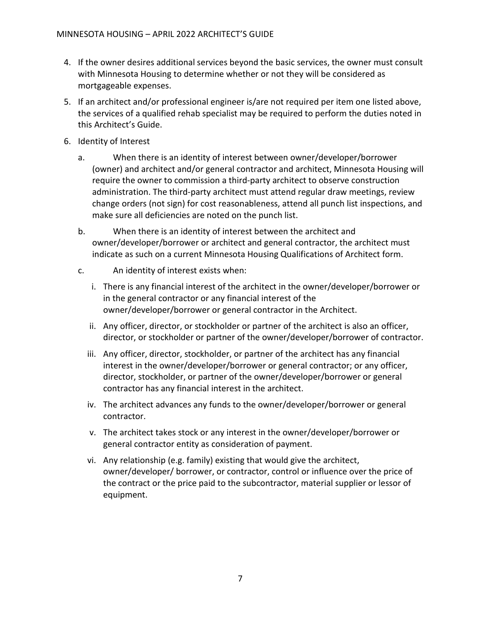- 4. If the owner desires additional services beyond the basic services, the owner must consult with Minnesota Housing to determine whether or not they will be considered as mortgageable expenses.
- 5. If an architect and/or professional engineer is/are not required per item one listed above, the services of a qualified rehab specialist may be required to perform the duties noted in this Architect's Guide.
- 6. Identity of Interest
	- a. When there is an identity of interest between owner/developer/borrower (owner) and architect and/or general contractor and architect, Minnesota Housing will require the owner to commission a third-party architect to observe construction administration. The third-party architect must attend regular draw meetings, review change orders (not sign) for cost reasonableness, attend all punch list inspections, and make sure all deficiencies are noted on the punch list.
	- b. When there is an identity of interest between the architect and owner/developer/borrower or architect and general contractor, the architect must indicate as such on a current Minnesota Housing Qualifications of Architect form.
	- c. An identity of interest exists when:
		- i. There is any financial interest of the architect in the owner/developer/borrower or in the general contractor or any financial interest of the owner/developer/borrower or general contractor in the Architect.
		- ii. Any officer, director, or stockholder or partner of the architect is also an officer, director, or stockholder or partner of the owner/developer/borrower of contractor.
		- iii. Any officer, director, stockholder, or partner of the architect has any financial interest in the owner/developer/borrower or general contractor; or any officer, director, stockholder, or partner of the owner/developer/borrower or general contractor has any financial interest in the architect.
		- iv. The architect advances any funds to the owner/developer/borrower or general contractor.
		- v. The architect takes stock or any interest in the owner/developer/borrower or general contractor entity as consideration of payment.
		- vi. Any relationship (e.g. family) existing that would give the architect, owner/developer/ borrower, or contractor, control or influence over the price of the contract or the price paid to the subcontractor, material supplier or lessor of equipment.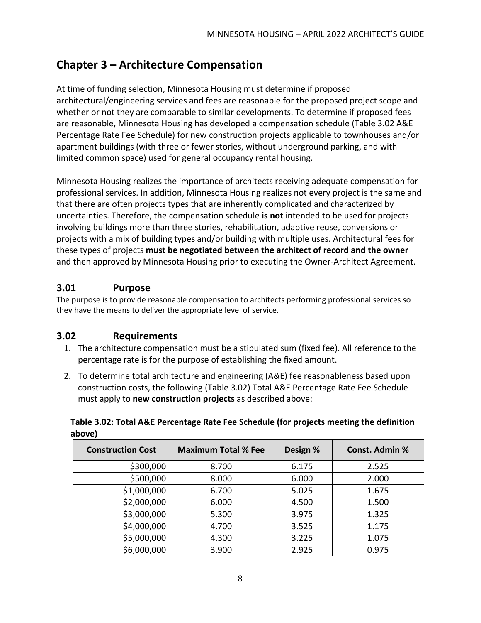# <span id="page-9-0"></span>**Chapter 3 – Architecture Compensation**

At time of funding selection, Minnesota Housing must determine if proposed architectural/engineering services and fees are reasonable for the proposed project scope and whether or not they are comparable to similar developments. To determine if proposed fees are reasonable, Minnesota Housing has developed a compensation schedule (Table 3.02 A&E Percentage Rate Fee Schedule) for new construction projects applicable to townhouses and/or apartment buildings (with three or fewer stories, without underground parking, and with limited common space) used for general occupancy rental housing.

Minnesota Housing realizes the importance of architects receiving adequate compensation for professional services. In addition, Minnesota Housing realizes not every project is the same and that there are often projects types that are inherently complicated and characterized by uncertainties. Therefore, the compensation schedule **is not** intended to be used for projects involving buildings more than three stories, rehabilitation, adaptive reuse, conversions or projects with a mix of building types and/or building with multiple uses. Architectural fees for these types of projects **must be negotiated between the architect of record and the owner** and then approved by Minnesota Housing prior to executing the Owner-Architect Agreement.

## <span id="page-9-1"></span>**3.01 Purpose**

The purpose is to provide reasonable compensation to architects performing professional services so they have the means to deliver the appropriate level of service.

## <span id="page-9-2"></span>**3.02 Requirements**

- 1. The architecture compensation must be a stipulated sum (fixed fee). All reference to the percentage rate is for the purpose of establishing the fixed amount.
- 2. To determine total architecture and engineering (A&E) fee reasonableness based upon construction costs, the following (Table 3.02) Total A&E Percentage Rate Fee Schedule must apply to **new construction projects** as described above:

**Table 3.02: Total A&E Percentage Rate Fee Schedule (for projects meeting the definition above)**

| <b>Construction Cost</b> | <b>Maximum Total % Fee</b> | Design % | <b>Const. Admin %</b> |
|--------------------------|----------------------------|----------|-----------------------|
| \$300,000                | 8.700                      | 6.175    | 2.525                 |
| \$500,000                | 8.000                      | 6.000    | 2.000                 |
| \$1,000,000              | 6.700                      | 5.025    | 1.675                 |
| \$2,000,000              | 6.000                      | 4.500    | 1.500                 |
| \$3,000,000              | 5.300                      | 3.975    | 1.325                 |
| \$4,000,000              | 4.700                      | 3.525    | 1.175                 |
| \$5,000,000              | 4.300                      | 3.225    | 1.075                 |
| \$6,000,000              | 3.900                      | 2.925    | 0.975                 |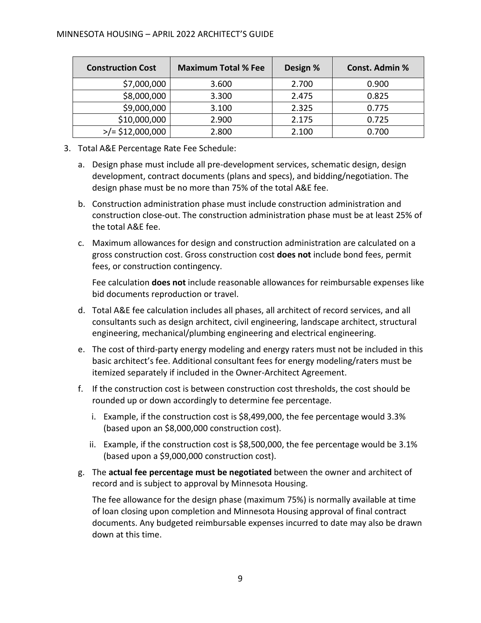| <b>Construction Cost</b>   | <b>Maximum Total % Fee</b> | Design % | <b>Const. Admin %</b> |
|----------------------------|----------------------------|----------|-----------------------|
| \$7,000,000                | 3.600                      | 2.700    | 0.900                 |
| \$8,000,000                | 3.300                      | 2.475    | 0.825                 |
| \$9,000,000                | 3.100                      | 2.325    | 0.775                 |
| \$10,000,000               | 2.900                      | 2.175    | 0.725                 |
| $\frac{1}{2}$ \$12,000,000 | 2.800                      | 2.100    | 0.700                 |

- 3. Total A&E Percentage Rate Fee Schedule:
	- a. Design phase must include all pre-development services, schematic design, design development, contract documents (plans and specs), and bidding/negotiation. The design phase must be no more than 75% of the total A&E fee.
	- b. Construction administration phase must include construction administration and construction close-out. The construction administration phase must be at least 25% of the total A&E fee.
	- c. Maximum allowances for design and construction administration are calculated on a gross construction cost. Gross construction cost **does not** include bond fees, permit fees, or construction contingency.

Fee calculation **does not** include reasonable allowances for reimbursable expenses like bid documents reproduction or travel.

- d. Total A&E fee calculation includes all phases, all architect of record services, and all consultants such as design architect, civil engineering, landscape architect, structural engineering, mechanical/plumbing engineering and electrical engineering.
- e. The cost of third-party energy modeling and energy raters must not be included in this basic architect's fee. Additional consultant fees for energy modeling/raters must be itemized separately if included in the Owner-Architect Agreement.
- f. If the construction cost is between construction cost thresholds, the cost should be rounded up or down accordingly to determine fee percentage.
	- i. Example, if the construction cost is \$8,499,000, the fee percentage would 3.3% (based upon an \$8,000,000 construction cost).
	- ii. Example, if the construction cost is \$8,500,000, the fee percentage would be 3.1% (based upon a \$9,000,000 construction cost).
- g. The **actual fee percentage must be negotiated** between the owner and architect of record and is subject to approval by Minnesota Housing.

The fee allowance for the design phase (maximum 75%) is normally available at time of loan closing upon completion and Minnesota Housing approval of final contract documents. Any budgeted reimbursable expenses incurred to date may also be drawn down at this time.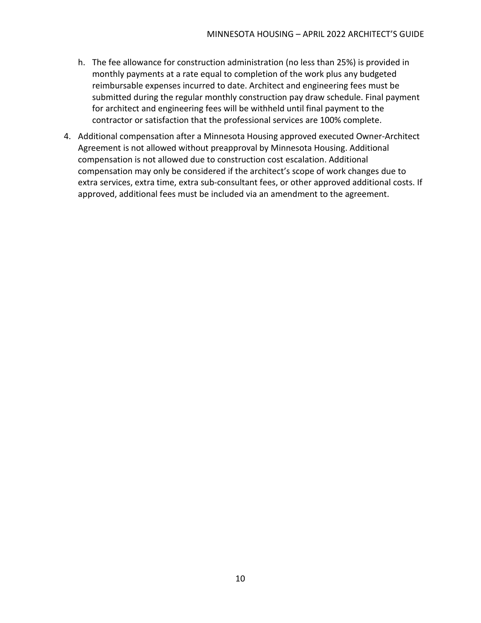- h. The fee allowance for construction administration (no less than 25%) is provided in monthly payments at a rate equal to completion of the work plus any budgeted reimbursable expenses incurred to date. Architect and engineering fees must be submitted during the regular monthly construction pay draw schedule. Final payment for architect and engineering fees will be withheld until final payment to the contractor or satisfaction that the professional services are 100% complete.
- 4. Additional compensation after a Minnesota Housing approved executed Owner-Architect Agreement is not allowed without preapproval by Minnesota Housing. Additional compensation is not allowed due to construction cost escalation. Additional compensation may only be considered if the architect's scope of work changes due to extra services, extra time, extra sub-consultant fees, or other approved additional costs. If approved, additional fees must be included via an amendment to the agreement.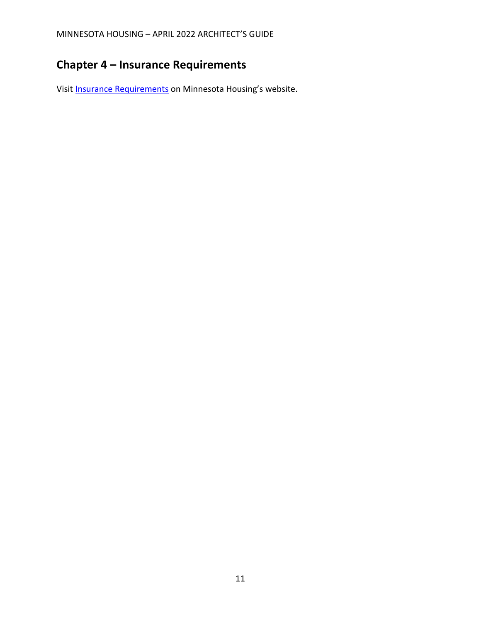# <span id="page-12-0"></span>**Chapter 4 – Insurance Requirements**

Visit [Insurance Requirements](https://www.mnhousing.gov/get/MHFA_005964) on Minnesota Housing's website.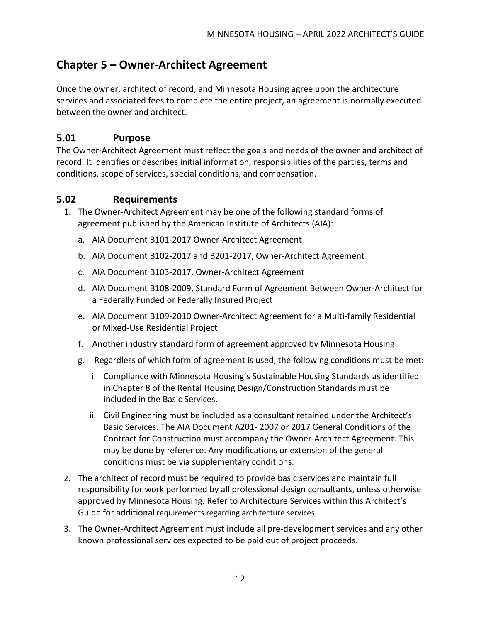## <span id="page-13-0"></span>**Chapter 5 – Owner-Architect Agreement**

Once the owner, architect of record, and Minnesota Housing agree upon the architecture services and associated fees to complete the entire project, an agreement is normally executed between the owner and architect.

#### <span id="page-13-1"></span>**5.01 Purpose**

The Owner-Architect Agreement must reflect the goals and needs of the owner and architect of record. It identifies or describes initial information, responsibilities of the parties, terms and conditions, scope of services, special conditions, and compensation.

#### <span id="page-13-2"></span>**5.02 Requirements**

- 1. The Owner-Architect Agreement may be one of the following standard forms of agreement published by the American Institute of Architects (AIA):
	- a. AIA Document B101-2017 Owner-Architect Agreement
	- b. AIA Document B102-2017 and B201-2017, Owner-Architect Agreement
	- c. AIA Document B103-2017, Owner-Architect Agreement
	- d. AIA Document B108-2009, Standard Form of Agreement Between Owner-Architect for a Federally Funded or Federally Insured Project
	- e. AIA Document B109-2010 Owner-Architect Agreement for a Multi-family Residential or Mixed-Use Residential Project
	- f. Another industry standard form of agreement approved by Minnesota Housing
	- g. Regardless of which form of agreement is used, the following conditions must be met:
		- i. Compliance with Minnesota Housing's Sustainable Housing Standards as identified in Chapter 8 of the Rental Housing Design/Construction Standards must be included in the Basic Services.
		- ii. Civil Engineering must be included as a consultant retained under the Architect's Basic Services. The AIA Document A201- 2007 or 2017 General Conditions of the Contract for Construction must accompany the Owner-Architect Agreement. This may be done by reference. Any modifications or extension of the general conditions must be via supplementary conditions.
- 2. The architect of record must be required to provide basic services and maintain full responsibility for work performed by all professional design consultants, unless otherwise approved by Minnesota Housing. Refer to Architecture Services within this Architect's Guide for additional requirements regarding architecture services.
- 3. The Owner-Architect Agreement must include all pre-development services and any other known professional services expected to be paid out of project proceeds.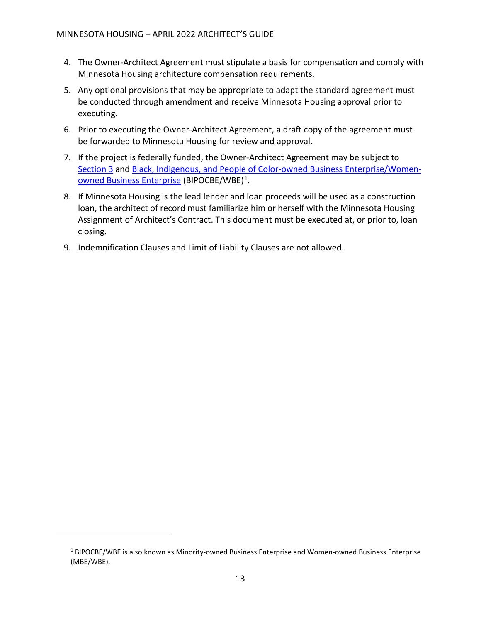- 4. The Owner-Architect Agreement must stipulate a basis for compensation and comply with Minnesota Housing architecture compensation requirements.
- 5. Any optional provisions that may be appropriate to adapt the standard agreement must be conducted through amendment and receive Minnesota Housing approval prior to executing.
- 6. Prior to executing the Owner-Architect Agreement, a draft copy of the agreement must be forwarded to Minnesota Housing for review and approval.
- 7. If the project is federally funded, the Owner-Architect Agreement may be subject to [Section 3](https://www.mnhousing.gov/get/MHFA_012427) and Black, Indigenous, and People of Color-owned [Business Enterprise/Women](https://www.mnhousing.gov/get/MHFA_1040662)owned [Business Enterprise](https://www.mnhousing.gov/get/MHFA_1040662) (BIPOCBE/WBE)[1](#page-14-0).
- 8. If Minnesota Housing is the lead lender and loan proceeds will be used as a construction loan, the architect of record must familiarize him or herself with the Minnesota Housing Assignment of Architect's Contract. This document must be executed at, or prior to, loan closing.
- 9. Indemnification Clauses and Limit of Liability Clauses are not allowed.

<span id="page-14-0"></span><sup>1</sup> BIPOCBE/WBE is also known as Minority-owned Business Enterprise and Women-owned Business Enterprise (MBE/WBE).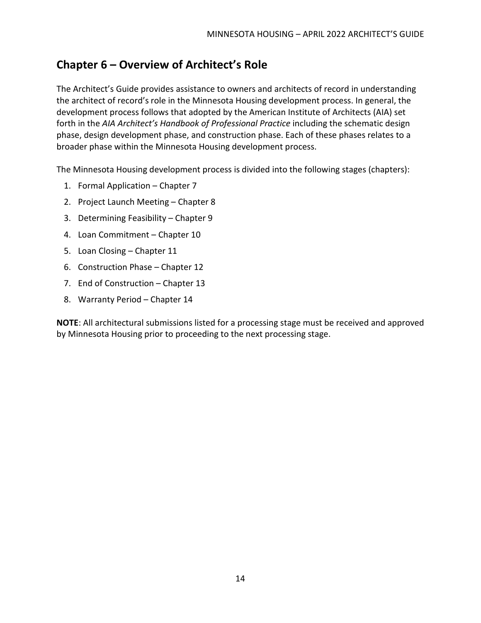# <span id="page-15-0"></span>**Chapter 6 – Overview of Architect's Role**

The Architect's Guide provides assistance to owners and architects of record in understanding the architect of record's role in the Minnesota Housing development process. In general, the development process follows that adopted by the American Institute of Architects (AIA) set forth in the *AIA Architect's Handbook of Professional Practice* including the schematic design phase, design development phase, and construction phase. Each of these phases relates to a broader phase within the Minnesota Housing development process.

The Minnesota Housing development process is divided into the following stages (chapters):

- 1. Formal Application Chapter 7
- 2. Project Launch Meeting Chapter 8
- 3. Determining Feasibility Chapter 9
- 4. Loan Commitment Chapter 10
- 5. Loan Closing Chapter 11
- 6. Construction Phase Chapter 12
- 7. End of Construction Chapter 13
- 8. Warranty Period Chapter 14

**NOTE**: All architectural submissions listed for a processing stage must be received and approved by Minnesota Housing prior to proceeding to the next processing stage.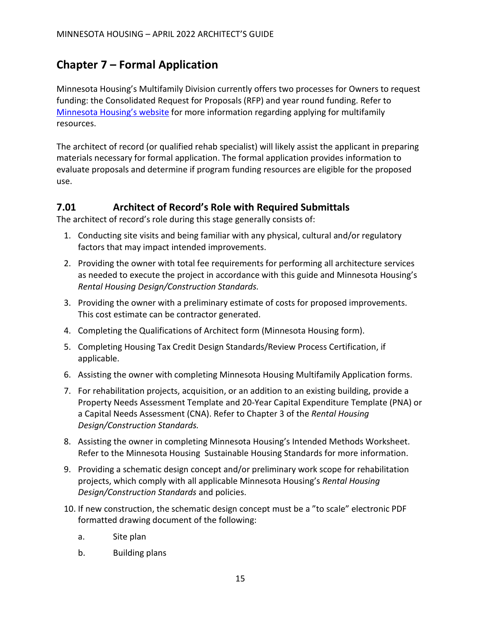# <span id="page-16-0"></span>**Chapter 7 – Formal Application**

Minnesota Housing's Multifamily Division currently offers two processes for Owners to request funding: the Consolidated Request for Proposals (RFP) and year round funding. Refer to [Minnesota Housing's website](https://www.mnhousing.gov/sites/multifamily/gettingstarted) for more information regarding applying for multifamily resources.

The architect of record (or qualified rehab specialist) will likely assist the applicant in preparing materials necessary for formal application. The formal application provides information to evaluate proposals and determine if program funding resources are eligible for the proposed use.

#### <span id="page-16-1"></span>**7.01 Architect of Record's Role with Required Submittals**

The architect of record's role during this stage generally consists of:

- 1. Conducting site visits and being familiar with any physical, cultural and/or regulatory factors that may impact intended improvements.
- 2. Providing the owner with total fee requirements for performing all architecture services as needed to execute the project in accordance with this guide and Minnesota Housing's *Rental Housing Design/Construction Standards.*
- 3. Providing the owner with a preliminary estimate of costs for proposed improvements. This cost estimate can be contractor generated.
- 4. Completing the Qualifications of Architect form (Minnesota Housing form).
- 5. Completing Housing Tax Credit Design Standards/Review Process Certification, if applicable.
- 6. Assisting the owner with completing Minnesota Housing Multifamily Application forms.
- 7. For rehabilitation projects, acquisition, or an addition to an existing building, provide a Property Needs Assessment Template and 20-Year Capital Expenditure Template (PNA) or a Capital Needs Assessment (CNA). Refer to Chapter 3 of the *Rental Housing Design/Construction Standards.*
- 8. Assisting the owner in completing Minnesota Housing's Intended Methods Worksheet. Refer to the Minnesota Housing [Sustainable Housing Standards](http://www.mnhousing.gov/housing/architects/MHFA_007963.aspx) for more information.
- 9. Providing a schematic design concept and/or preliminary work scope for rehabilitation projects, which comply with all applicable Minnesota Housing's *[Rental Housing](http://www.mnhousing.gov/idc/groups/public/documents/webcontent/mhfa_010795.pdf)  [Design/Construction Standards](http://www.mnhousing.gov/idc/groups/public/documents/webcontent/mhfa_010795.pdf)* and policies.
- 10. If new construction, the schematic design concept must be a "to scale" electronic PDF formatted drawing document of the following:
	- a. Site plan
	- b. Building plans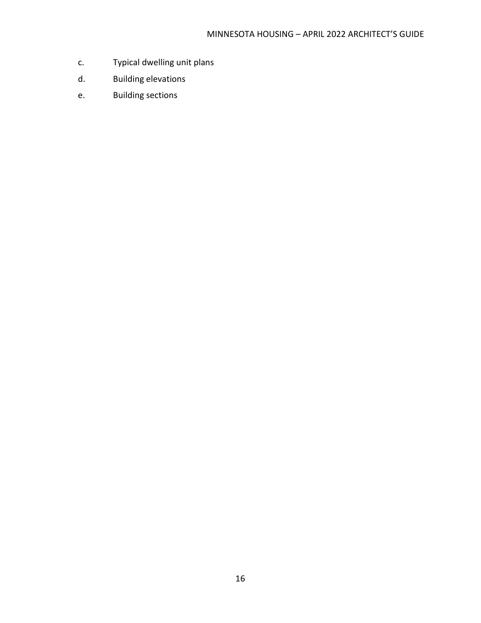- c. Typical dwelling unit plans
- d. Building elevations
- e. Building sections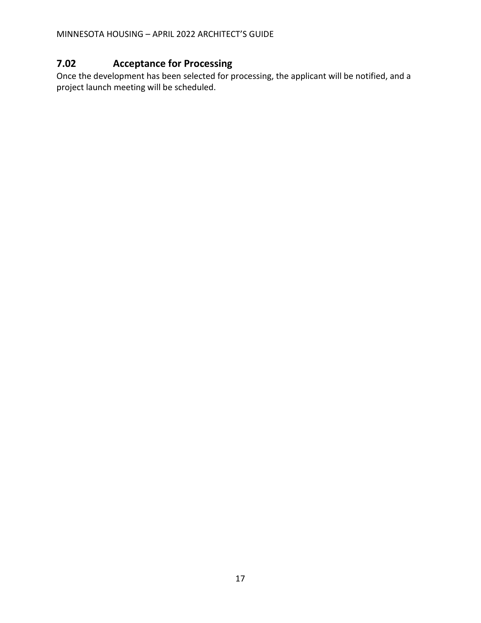## <span id="page-18-0"></span>**7.02 Acceptance for Processing**

Once the development has been selected for processing, the applicant will be notified, and a project launch meeting will be scheduled.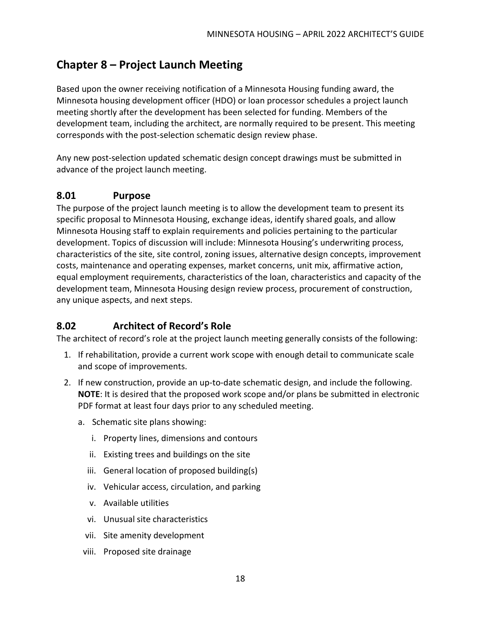# <span id="page-19-0"></span>**Chapter 8 – Project Launch Meeting**

Based upon the owner receiving notification of a Minnesota Housing funding award, the Minnesota housing development officer (HDO) or loan processor schedules a project launch meeting shortly after the development has been selected for funding. Members of the development team, including the architect, are normally required to be present. This meeting corresponds with the post-selection schematic design review phase.

Any new post-selection updated schematic design concept drawings must be submitted in advance of the project launch meeting.

#### <span id="page-19-1"></span>**8.01 Purpose**

The purpose of the project launch meeting is to allow the development team to present its specific proposal to Minnesota Housing, exchange ideas, identify shared goals, and allow Minnesota Housing staff to explain requirements and policies pertaining to the particular development. Topics of discussion will include: Minnesota Housing's underwriting process, characteristics of the site, site control, zoning issues, alternative design concepts, improvement costs, maintenance and operating expenses, market concerns, unit mix, affirmative action, equal employment requirements, characteristics of the loan, characteristics and capacity of the development team, Minnesota Housing design review process, procurement of construction, any unique aspects, and next steps.

## <span id="page-19-2"></span>**8.02 Architect of Record's Role**

The architect of record's role at the project launch meeting generally consists of the following:

- 1. If rehabilitation, provide a current work scope with enough detail to communicate scale and scope of improvements.
- 2. If new construction, provide an up-to-date schematic design, and include the following. **NOTE**: It is desired that the proposed work scope and/or plans be submitted in electronic PDF format at least four days prior to any scheduled meeting.
	- a. Schematic site plans showing:
		- i. Property lines, dimensions and contours
		- ii. Existing trees and buildings on the site
		- iii. General location of proposed building(s)
		- iv. Vehicular access, circulation, and parking
		- v. Available utilities
		- vi. Unusual site characteristics
		- vii. Site amenity development
		- viii. Proposed site drainage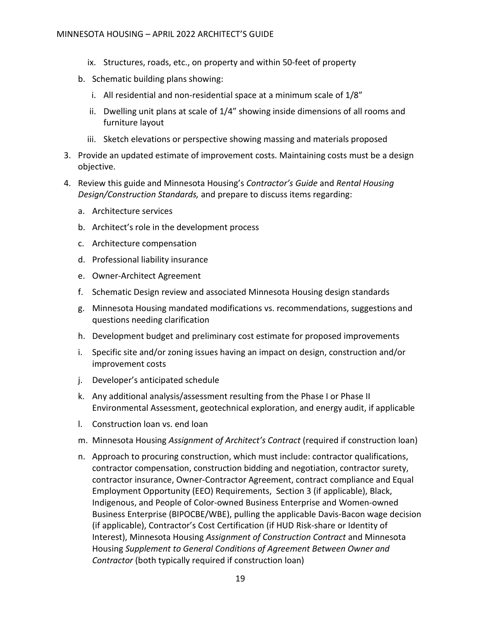- ix. Structures, roads, etc., on property and within 50-feet of property
- b. Schematic building plans showing:
	- i. All residential and non-residential space at a minimum scale of 1/8"
	- ii. Dwelling unit plans at scale of 1/4" showing inside dimensions of all rooms and furniture layout
	- iii. Sketch elevations or perspective showing massing and materials proposed
- 3. Provide an updated estimate of improvement costs. Maintaining costs must be a design objective.
- 4. Review this guide and Minnesota Housing's *[Contractor's Guide](http://www.mnhousing.gov/idc/groups/multifamily/documents/webcontent/mhfa_008061.pdf)* and *[Rental Housing](http://www.mnhousing.gov/idc/groups/public/documents/webcontent/mhfa_010795.pdf)  [Design/Construction Standards,](http://www.mnhousing.gov/idc/groups/public/documents/webcontent/mhfa_010795.pdf)* and prepare to discuss items regarding:
	- a. Architecture services
	- b. Architect's role in the development process
	- c. Architecture compensation
	- d. Professional liability insurance
	- e. Owner-Architect Agreement
	- f. Schematic Design review and associated Minnesota Housing design standards
	- g. Minnesota Housing mandated modifications vs. recommendations, suggestions and questions needing clarification
	- h. Development budget and preliminary cost estimate for proposed improvements
	- i. Specific site and/or zoning issues having an impact on design, construction and/or improvement costs
	- j. Developer's anticipated schedule
	- k. Any additional analysis/assessment resulting from the Phase I or Phase II Environmental Assessment, geotechnical exploration, and energy audit, if applicable
	- l. Construction loan vs. end loan
	- m. Minnesota Housing *Assignment of Architect's Contract* (required if construction loan)
	- n. Approach to procuring construction, which must include: contractor qualifications, contractor compensation, construction bidding and negotiation, contractor surety, contractor insurance, Owner-Contractor Agreement, contract compliance and Equal Employment Opportunity (EEO) Requirements, Section 3 (if applicable), Black, Indigenous, and People of Color-owned Business Enterprise and Women-owned Business Enterprise (BIPOCBE/WBE), pulling the applicable Davis-Bacon wage decision (if applicable), Contractor's Cost Certification (if HUD Risk-share or Identity of Interest), Minnesota Housing *Assignment of Construction Contract* and Minnesota Housing *Supplement to General Conditions of Agreement Between Owner and Contractor* (both typically required if construction loan)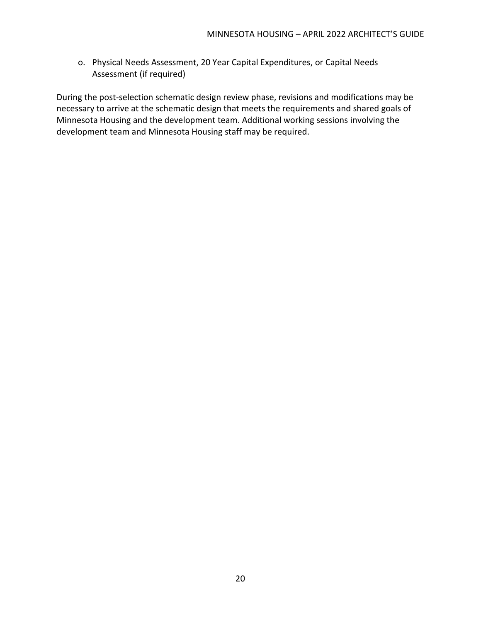o. Physical Needs Assessment, 20 Year Capital Expenditures, or Capital Needs Assessment (if required)

During the post-selection schematic design review phase, revisions and modifications may be necessary to arrive at the schematic design that meets the requirements and shared goals of Minnesota Housing and the development team. Additional working sessions involving the development team and Minnesota Housing staff may be required.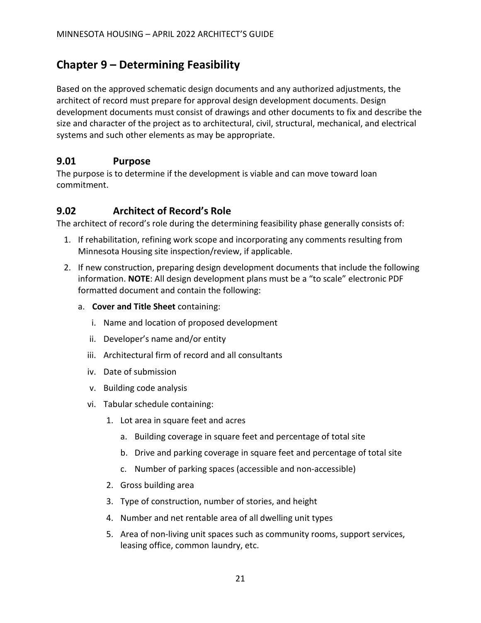## <span id="page-22-0"></span>**Chapter 9 – Determining Feasibility**

Based on the approved schematic design documents and any authorized adjustments, the architect of record must prepare for approval design development documents. Design development documents must consist of drawings and other documents to fix and describe the size and character of the project as to architectural, civil, structural, mechanical, and electrical systems and such other elements as may be appropriate.

#### <span id="page-22-1"></span>**9.01 Purpose**

The purpose is to determine if the development is viable and can move toward loan commitment.

## <span id="page-22-2"></span>**9.02 Architect of Record's Role**

The architect of record's role during the determining feasibility phase generally consists of:

- 1. If rehabilitation, refining work scope and incorporating any comments resulting from Minnesota Housing site inspection/review, if applicable.
- 2. If new construction, preparing design development documents that include the following information. **NOTE**: All design development plans must be a "to scale" electronic PDF formatted document and contain the following:
	- a. **Cover and Title Sheet** containing:
		- i. Name and location of proposed development
		- ii. Developer's name and/or entity
		- iii. Architectural firm of record and all consultants
		- iv. Date of submission
		- v. Building code analysis
		- vi. Tabular schedule containing:
			- 1. Lot area in square feet and acres
				- a. Building coverage in square feet and percentage of total site
				- b. Drive and parking coverage in square feet and percentage of total site
				- c. Number of parking spaces (accessible and non-accessible)
			- 2. Gross building area
			- 3. Type of construction, number of stories, and height
			- 4. Number and net rentable area of all dwelling unit types
			- 5. Area of non-living unit spaces such as community rooms, support services, leasing office, common laundry, etc.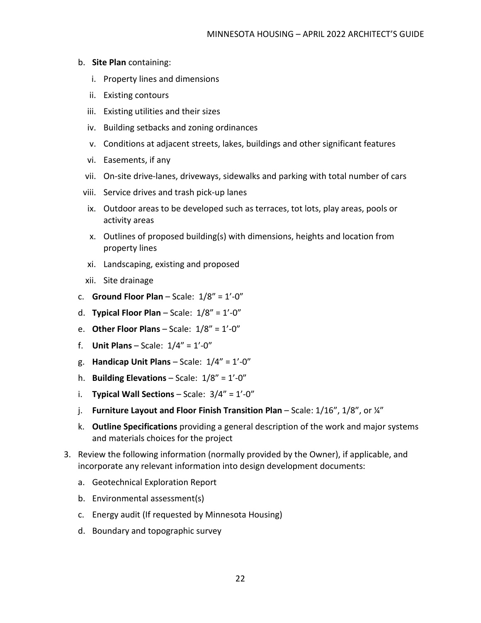- b. **Site Plan** containing:
	- i. Property lines and dimensions
	- ii. Existing contours
	- iii. Existing utilities and their sizes
	- iv. Building setbacks and zoning ordinances
	- v. Conditions at adjacent streets, lakes, buildings and other significant features
	- vi. Easements, if any
	- vii. On-site drive-lanes, driveways, sidewalks and parking with total number of cars
	- viii. Service drives and trash pick-up lanes
	- ix. Outdoor areas to be developed such as terraces, tot lots, play areas, pools or activity areas
	- x. Outlines of proposed building(s) with dimensions, heights and location from property lines
	- xi. Landscaping, existing and proposed
	- xii. Site drainage
- c. **Ground Floor Plan** Scale: 1/8" = 1'-0"
- d. **Typical Floor Plan** Scale: 1/8" = 1'-0"
- e. **Other Floor Plans** Scale: 1/8" = 1'-0"
- f. **Unit Plans** Scale: 1/4" = 1'-0"
- g. **Handicap Unit Plans** Scale: 1/4" = 1'-0"
- h. **Building Elevations** Scale: 1/8" = 1'-0"
- i. **Typical Wall Sections** Scale: 3/4" = 1'-0"
- j. **Furniture Layout and Floor Finish Transition Plan**  Scale: 1/16", 1/8", or ¼"
- k. **Outline Specifications** providing a general description of the work and major systems and materials choices for the project
- 3. Review the following information (normally provided by the Owner), if applicable, and incorporate any relevant information into design development documents:
	- a. Geotechnical Exploration Report
	- b. Environmental assessment(s)
	- c. Energy audit (If requested by Minnesota Housing)
	- d. Boundary and topographic survey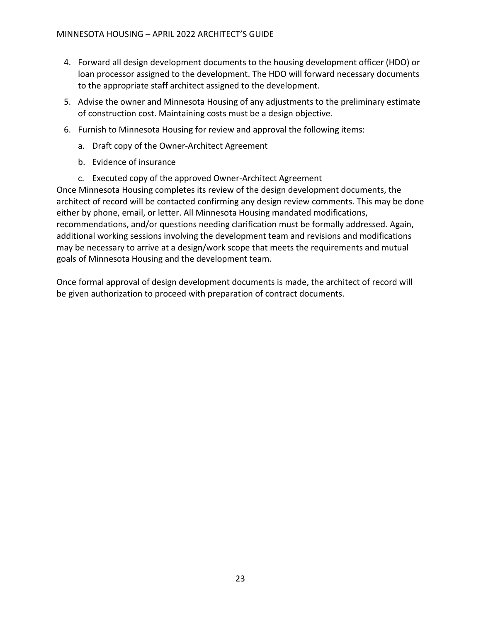- 4. Forward all design development documents to the housing development officer (HDO) or loan processor assigned to the development. The HDO will forward necessary documents to the appropriate staff architect assigned to the development.
- 5. Advise the owner and Minnesota Housing of any adjustments to the preliminary estimate of construction cost. Maintaining costs must be a design objective.
- 6. Furnish to Minnesota Housing for review and approval the following items:
	- a. Draft copy of the Owner-Architect Agreement
	- b. Evidence of insurance
	- c. Executed copy of the approved Owner-Architect Agreement

Once Minnesota Housing completes its review of the design development documents, the architect of record will be contacted confirming any design review comments. This may be done either by phone, email, or letter. All Minnesota Housing mandated modifications, recommendations, and/or questions needing clarification must be formally addressed. Again, additional working sessions involving the development team and revisions and modifications may be necessary to arrive at a design/work scope that meets the requirements and mutual goals of Minnesota Housing and the development team.

Once formal approval of design development documents is made, the architect of record will be given authorization to proceed with preparation of contract documents.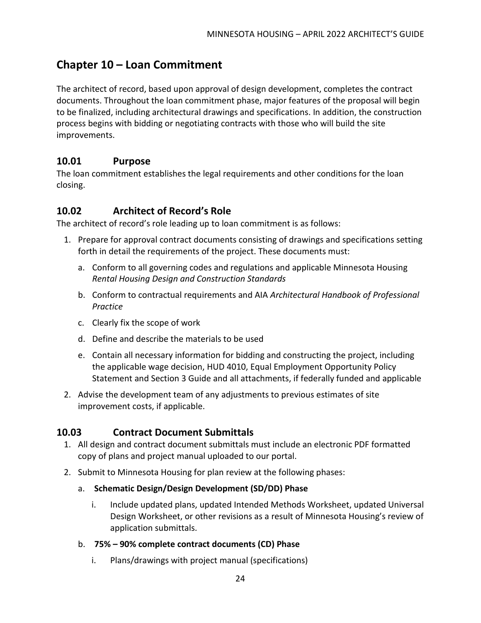## <span id="page-25-0"></span>**Chapter 10 – Loan Commitment**

The architect of record, based upon approval of design development, completes the contract documents. Throughout the loan commitment phase, major features of the proposal will begin to be finalized, including architectural drawings and specifications. In addition, the construction process begins with bidding or negotiating contracts with those who will build the site improvements.

#### <span id="page-25-1"></span>**10.01 Purpose**

The loan commitment establishes the legal requirements and other conditions for the loan closing.

## <span id="page-25-2"></span>**10.02 Architect of Record's Role**

The architect of record's role leading up to loan commitment is as follows:

- 1. Prepare for approval contract documents consisting of drawings and specifications setting forth in detail the requirements of the project. These documents must:
	- a. Conform to all governing codes and regulations and applicable Minnesota Housing *Rental Housing Design and Construction Standards*
	- b. Conform to contractual requirements and AIA *Architectural Handbook of Professional Practice*
	- c. Clearly fix the scope of work
	- d. Define and describe the materials to be used
	- e. Contain all necessary information for bidding and constructing the project, including the applicable wage decision, HUD 4010, Equal Employment Opportunity Policy Statement and Section 3 Guide and all attachments, if federally funded and applicable
- 2. Advise the development team of any adjustments to previous estimates of site improvement costs, if applicable.

## **10.03 Contract Document Submittals**

- <span id="page-25-3"></span>1. All design and contract document submittals must include an electronic PDF formatted copy of plans and project manual uploaded to our portal.
- 2. Submit to Minnesota Housing for plan review at the following phases:
	- a. **Schematic Design/Design Development (SD/DD) Phase**
		- i. Include updated plans, updated Intended Methods Worksheet, updated Universal Design Worksheet, or other revisions as a result of Minnesota Housing's review of application submittals.
	- b. **75% – 90% complete contract documents (CD) Phase**
		- i. Plans/drawings with project manual (specifications)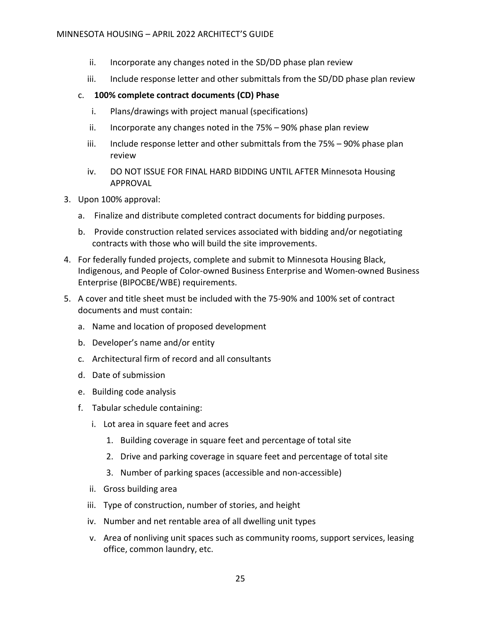- ii. Incorporate any changes noted in the SD/DD phase plan review
- iii. Include response letter and other submittals from the SD/DD phase plan review

#### c. **100% complete contract documents (CD) Phase**

- i. Plans/drawings with project manual (specifications)
- ii. Incorporate any changes noted in the 75% 90% phase plan review
- iii. Include response letter and other submittals from the 75% 90% phase plan review
- iv. DO NOT ISSUE FOR FINAL HARD BIDDING UNTIL AFTER Minnesota Housing APPROVAL
- 3. Upon 100% approval:
	- a. Finalize and distribute completed contract documents for bidding purposes.
	- b. Provide construction related services associated with bidding and/or negotiating contracts with those who will build the site improvements.
- 4. For federally funded projects, complete and submit to Minnesota Housing Black, Indigenous, and People of Color-owned Business Enterprise and Women-owned Business Enterprise (BIPOCBE/WBE) requirements.
- 5. A cover and title sheet must be included with the 75-90% and 100% set of contract documents and must contain:
	- a. Name and location of proposed development
	- b. Developer's name and/or entity
	- c. Architectural firm of record and all consultants
	- d. Date of submission
	- e. Building code analysis
	- f. Tabular schedule containing:
		- i. Lot area in square feet and acres
			- 1. Building coverage in square feet and percentage of total site
			- 2. Drive and parking coverage in square feet and percentage of total site
			- 3. Number of parking spaces (accessible and non-accessible)
		- ii. Gross building area
		- iii. Type of construction, number of stories, and height
		- iv. Number and net rentable area of all dwelling unit types
		- v. Area of nonliving unit spaces such as community rooms, support services, leasing office, common laundry, etc.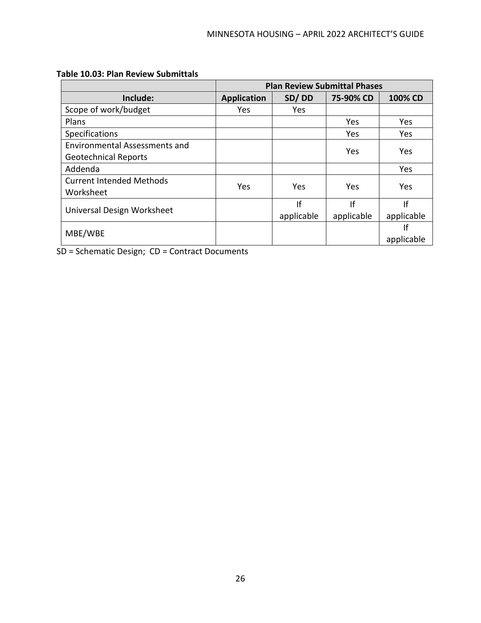|                                                                     | <b>Plan Review Submittal Phases</b> |                  |                  |                  |
|---------------------------------------------------------------------|-------------------------------------|------------------|------------------|------------------|
| Include:                                                            | <b>Application</b>                  | SD/DD            | 75-90% CD        | 100% CD          |
| Scope of work/budget                                                | <b>Yes</b>                          | <b>Yes</b>       |                  |                  |
| Plans                                                               |                                     |                  | Yes              | <b>Yes</b>       |
| Specifications                                                      |                                     |                  | Yes              | Yes              |
| <b>Environmental Assessments and</b><br><b>Geotechnical Reports</b> |                                     |                  | Yes              | Yes              |
| Addenda                                                             |                                     |                  |                  | Yes              |
| <b>Current Intended Methods</b><br>Worksheet                        | Yes                                 | Yes.             | Yes              | <b>Yes</b>       |
| Universal Design Worksheet                                          |                                     | If<br>applicable | If<br>applicable | If<br>applicable |
| MBE/WBE                                                             |                                     |                  |                  | If<br>applicable |

#### **Table 10.03: Plan Review Submittals**

SD = Schematic Design; CD = Contract Documents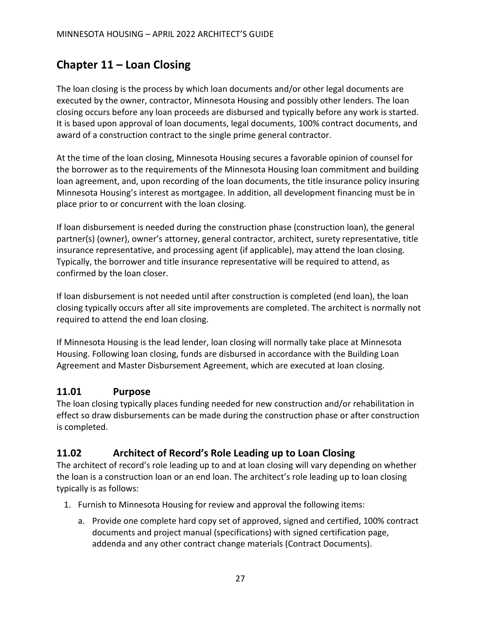# <span id="page-28-0"></span>**Chapter 11 – Loan Closing**

The loan closing is the process by which loan documents and/or other legal documents are executed by the owner, contractor, Minnesota Housing and possibly other lenders. The loan closing occurs before any loan proceeds are disbursed and typically before any work is started. It is based upon approval of loan documents, legal documents, 100% contract documents, and award of a construction contract to the single prime general contractor.

At the time of the loan closing, Minnesota Housing secures a favorable opinion of counsel for the borrower as to the requirements of the Minnesota Housing loan commitment and building loan agreement, and, upon recording of the loan documents, the title insurance policy insuring Minnesota Housing's interest as mortgagee. In addition, all development financing must be in place prior to or concurrent with the loan closing.

If loan disbursement is needed during the construction phase (construction loan), the general partner(s) (owner), owner's attorney, general contractor, architect, surety representative, title insurance representative, and processing agent (if applicable), may attend the loan closing. Typically, the borrower and title insurance representative will be required to attend, as confirmed by the loan closer.

If loan disbursement is not needed until after construction is completed (end loan), the loan closing typically occurs after all site improvements are completed. The architect is normally not required to attend the end loan closing.

If Minnesota Housing is the lead lender, loan closing will normally take place at Minnesota Housing. Following loan closing, funds are disbursed in accordance with the Building Loan Agreement and Master Disbursement Agreement, which are executed at loan closing.

#### <span id="page-28-1"></span>**11.01 Purpose**

The loan closing typically places funding needed for new construction and/or rehabilitation in effect so draw disbursements can be made during the construction phase or after construction is completed.

## <span id="page-28-2"></span>**11.02 Architect of Record's Role Leading up to Loan Closing**

The architect of record's role leading up to and at loan closing will vary depending on whether the loan is a construction loan or an end loan. The architect's role leading up to loan closing typically is as follows:

- 1. Furnish to Minnesota Housing for review and approval the following items:
	- a. Provide one complete hard copy set of approved, signed and certified, 100% contract documents and project manual (specifications) with signed certification page, addenda and any other contract change materials (Contract Documents).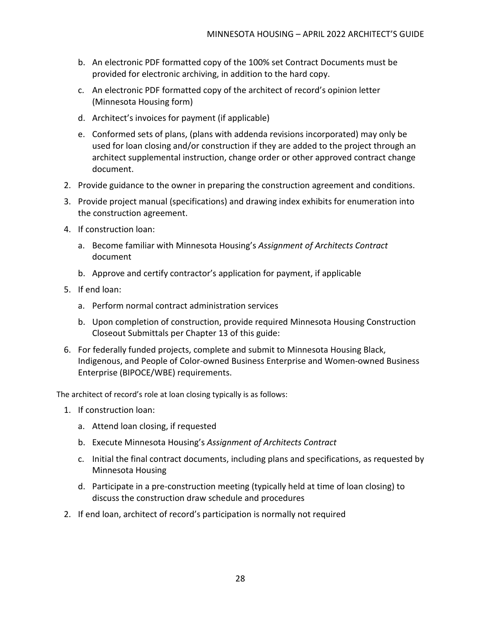- b. An electronic PDF formatted copy of the 100% set Contract Documents must be provided for electronic archiving, in addition to the hard copy.
- c. An electronic PDF formatted copy of the architect of record's opinion letter (Minnesota Housing form)
- d. Architect's invoices for payment (if applicable)
- e. Conformed sets of plans, (plans with addenda revisions incorporated) may only be used for loan closing and/or construction if they are added to the project through an architect supplemental instruction, change order or other approved contract change document.
- 2. Provide guidance to the owner in preparing the construction agreement and conditions.
- 3. Provide project manual (specifications) and drawing index exhibits for enumeration into the construction agreement.
- 4. If construction loan:
	- a. Become familiar with Minnesota Housing's *Assignment of Architects Contract* document
	- b. Approve and certify contractor's application for payment, if applicable
- 5. If end loan:
	- a. Perform normal contract administration services
	- b. Upon completion of construction, provide required Minnesota Housing Construction Closeout Submittals per Chapter 13 of this guide:
- 6. For federally funded projects, complete and submit to Minnesota Housing Black, Indigenous, and People of Color-owned Business Enterprise and Women-owned Business Enterprise (BIPOCE/WBE) requirements.

The architect of record's role at loan closing typically is as follows:

- 1. If construction loan:
	- a. Attend loan closing, if requested
	- b. Execute Minnesota Housing's *Assignment of Architects Contract*
	- c. Initial the final contract documents, including plans and specifications, as requested by Minnesota Housing
	- d. Participate in a pre-construction meeting (typically held at time of loan closing) to discuss the construction draw schedule and procedures
- 2. If end loan, architect of record's participation is normally not required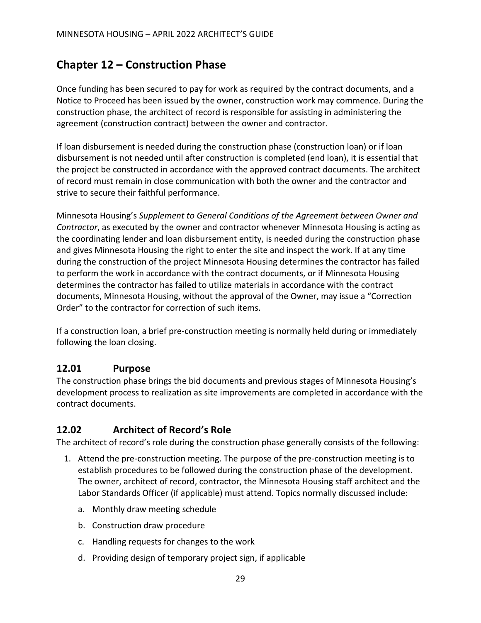# <span id="page-30-0"></span>**Chapter 12 – Construction Phase**

Once funding has been secured to pay for work as required by the contract documents, and a Notice to Proceed has been issued by the owner, construction work may commence. During the construction phase, the architect of record is responsible for assisting in administering the agreement (construction contract) between the owner and contractor.

If loan disbursement is needed during the construction phase (construction loan) or if loan disbursement is not needed until after construction is completed (end loan), it is essential that the project be constructed in accordance with the approved contract documents. The architect of record must remain in close communication with both the owner and the contractor and strive to secure their faithful performance.

Minnesota Housing's *Supplement to General Conditions of the Agreement between Owner and Contractor*, as executed by the owner and contractor whenever Minnesota Housing is acting as the coordinating lender and loan disbursement entity, is needed during the construction phase and gives Minnesota Housing the right to enter the site and inspect the work. If at any time during the construction of the project Minnesota Housing determines the contractor has failed to perform the work in accordance with the contract documents, or if Minnesota Housing determines the contractor has failed to utilize materials in accordance with the contract documents, Minnesota Housing, without the approval of the Owner, may issue a "Correction Order" to the contractor for correction of such items.

If a construction loan, a brief pre-construction meeting is normally held during or immediately following the loan closing.

#### <span id="page-30-1"></span>**12.01 Purpose**

The construction phase brings the bid documents and previous stages of Minnesota Housing's development process to realization as site improvements are completed in accordance with the contract documents.

## <span id="page-30-2"></span>**12.02 Architect of Record's Role**

The architect of record's role during the construction phase generally consists of the following:

- 1. Attend the pre-construction meeting. The purpose of the pre-construction meeting is to establish procedures to be followed during the construction phase of the development. The owner, architect of record, contractor, the Minnesota Housing staff architect and the Labor Standards Officer (if applicable) must attend. Topics normally discussed include:
	- a. Monthly draw meeting schedule
	- b. Construction draw procedure
	- c. Handling requests for changes to the work
	- d. Providing design of temporary project sign, if applicable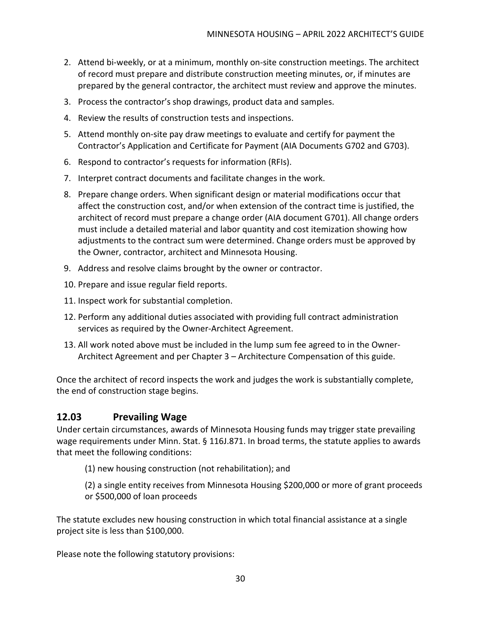- 2. Attend bi-weekly, or at a minimum, monthly on-site construction meetings. The architect of record must prepare and distribute construction meeting minutes, or, if minutes are prepared by the general contractor, the architect must review and approve the minutes.
- 3. Process the contractor's shop drawings, product data and samples.
- 4. Review the results of construction tests and inspections.
- 5. Attend monthly on-site pay draw meetings to evaluate and certify for payment the Contractor's Application and Certificate for Payment (AIA Documents G702 and G703).
- 6. Respond to contractor's requests for information (RFIs).
- 7. Interpret contract documents and facilitate changes in the work.
- 8. Prepare change orders. When significant design or material modifications occur that affect the construction cost, and/or when extension of the contract time is justified, the architect of record must prepare a change order (AIA document G701). All change orders must include a detailed material and labor quantity and cost itemization showing how adjustments to the contract sum were determined. Change orders must be approved by the Owner, contractor, architect and Minnesota Housing.
- 9. Address and resolve claims brought by the owner or contractor.
- 10. Prepare and issue regular field reports.
- 11. Inspect work for substantial completion.
- 12. Perform any additional duties associated with providing full contract administration services as required by the Owner-Architect Agreement.
- 13. All work noted above must be included in the lump sum fee agreed to in the Owner-Architect Agreement and per Chapter 3 – Architecture Compensation of this guide.

Once the architect of record inspects the work and judges the work is substantially complete, the end of construction stage begins.

#### <span id="page-31-0"></span>**12.03 Prevailing Wage**

Under certain circumstances, awards of Minnesota Housing funds may trigger state prevailing wage requirements under Minn. Stat. § 116J.871. In broad terms, the statute applies to awards that meet the following conditions:

- (1) new housing construction (not rehabilitation); and
- (2) a single entity receives from Minnesota Housing \$200,000 or more of grant proceeds or \$500,000 of loan proceeds

The statute excludes new housing construction in which total financial assistance at a single project site is less than \$100,000.

Please note the following statutory provisions: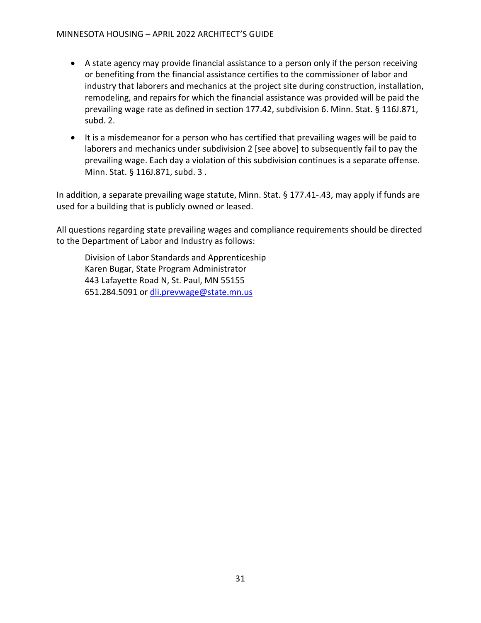- A state agency may provide financial assistance to a person only if the person receiving or benefiting from the financial assistance certifies to the commissioner of labor and industry that laborers and mechanics at the project site during construction, installation, remodeling, and repairs for which the financial assistance was provided will be paid the prevailing wage rate as defined in section 177.42, subdivision 6. Minn. Stat. § 116J.871, subd. 2.
- It is a misdemeanor for a person who has certified that prevailing wages will be paid to laborers and mechanics under subdivision 2 [see above] to subsequently fail to pay the prevailing wage. Each day a violation of this subdivision continues is a separate offense. Minn. Stat. § 116J.871, subd. 3 .

In addition, a separate prevailing wage statute, Minn. Stat. § 177.41-.43, may apply if funds are used for a building that is publicly owned or leased.

All questions regarding state prevailing wages and compliance requirements should be directed to the Department of Labor and Industry as follows:

Division of Labor Standards and Apprenticeship Karen Bugar, State Program Administrator 443 Lafayette Road N, St. Paul, MN 55155 651.284.5091 or [dli.prevwage@state.mn.us](mailto:dli.prevwage@state.mn.us)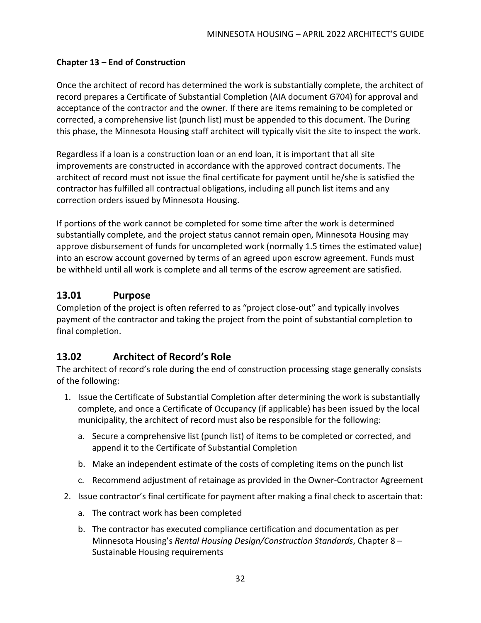#### <span id="page-33-0"></span>**Chapter 13 – End of Construction**

Once the architect of record has determined the work is substantially complete, the architect of record prepares a Certificate of Substantial Completion (AIA document G704) for approval and acceptance of the contractor and the owner. If there are items remaining to be completed or corrected, a comprehensive list (punch list) must be appended to this document. The During this phase, the Minnesota Housing staff architect will typically visit the site to inspect the work.

Regardless if a loan is a construction loan or an end loan, it is important that all site improvements are constructed in accordance with the approved contract documents. The architect of record must not issue the final certificate for payment until he/she is satisfied the contractor has fulfilled all contractual obligations, including all punch list items and any correction orders issued by Minnesota Housing.

If portions of the work cannot be completed for some time after the work is determined substantially complete, and the project status cannot remain open, Minnesota Housing may approve disbursement of funds for uncompleted work (normally 1.5 times the estimated value) into an escrow account governed by terms of an agreed upon escrow agreement. Funds must be withheld until all work is complete and all terms of the escrow agreement are satisfied.

#### <span id="page-33-1"></span>**13.01 Purpose**

Completion of the project is often referred to as "project close-out" and typically involves payment of the contractor and taking the project from the point of substantial completion to final completion.

## <span id="page-33-2"></span>**13.02 Architect of Record's Role**

The architect of record's role during the end of construction processing stage generally consists of the following:

- 1. Issue the Certificate of Substantial Completion after determining the work is substantially complete, and once a Certificate of Occupancy (if applicable) has been issued by the local municipality, the architect of record must also be responsible for the following:
	- a. Secure a comprehensive list (punch list) of items to be completed or corrected, and append it to the Certificate of Substantial Completion
	- b. Make an independent estimate of the costs of completing items on the punch list
	- c. Recommend adjustment of retainage as provided in the Owner-Contractor Agreement
- 2. Issue contractor's final certificate for payment after making a final check to ascertain that:
	- a. The contract work has been completed
	- b. The contractor has executed compliance certification and documentation as per Minnesota Housing's *Rental Housing Design/Construction Standards*, Chapter 8 – Sustainable Housing requirements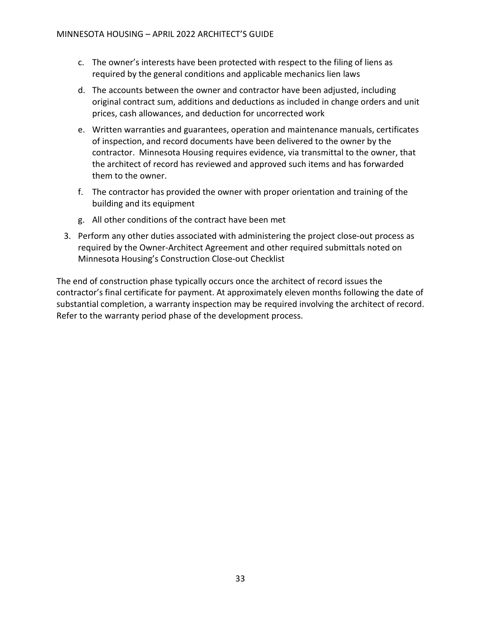- c. The owner's interests have been protected with respect to the filing of liens as required by the general conditions and applicable mechanics lien laws
- d. The accounts between the owner and contractor have been adjusted, including original contract sum, additions and deductions as included in change orders and unit prices, cash allowances, and deduction for uncorrected work
- e. Written warranties and guarantees, operation and maintenance manuals, certificates of inspection, and record documents have been delivered to the owner by the contractor. Minnesota Housing requires evidence, via transmittal to the owner, that the architect of record has reviewed and approved such items and has forwarded them to the owner.
- f. The contractor has provided the owner with proper orientation and training of the building and its equipment
- g. All other conditions of the contract have been met
- 3. Perform any other duties associated with administering the project close-out process as required by the Owner-Architect Agreement and other required submittals noted on Minnesota Housing's Construction Close-out Checklist

The end of construction phase typically occurs once the architect of record issues the contractor's final certificate for payment. At approximately eleven months following the date of substantial completion, a warranty inspection may be required involving the architect of record. Refer to the warranty period phase of the development process.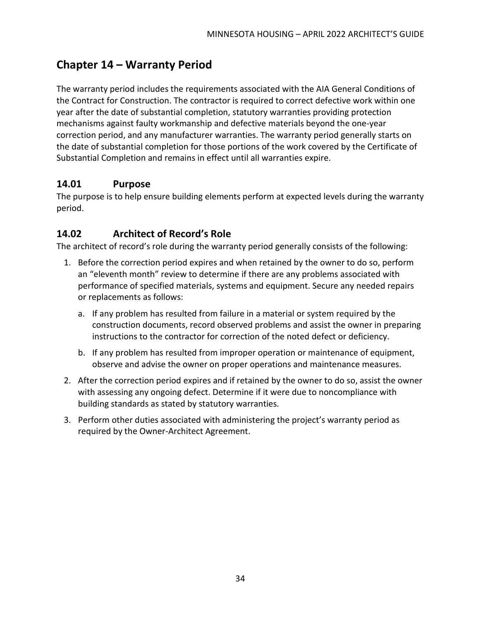# <span id="page-35-0"></span>**Chapter 14 – Warranty Period**

The warranty period includes the requirements associated with the AIA General Conditions of the Contract for Construction. The contractor is required to correct defective work within one year after the date of substantial completion, statutory warranties providing protection mechanisms against faulty workmanship and defective materials beyond the one-year correction period, and any manufacturer warranties. The warranty period generally starts on the date of substantial completion for those portions of the work covered by the Certificate of Substantial Completion and remains in effect until all warranties expire.

#### <span id="page-35-1"></span>**14.01 Purpose**

The purpose is to help ensure building elements perform at expected levels during the warranty period.

#### <span id="page-35-2"></span>**14.02 Architect of Record's Role**

The architect of record's role during the warranty period generally consists of the following:

- 1. Before the correction period expires and when retained by the owner to do so, perform an "eleventh month" review to determine if there are any problems associated with performance of specified materials, systems and equipment. Secure any needed repairs or replacements as follows:
	- a. If any problem has resulted from failure in a material or system required by the construction documents, record observed problems and assist the owner in preparing instructions to the contractor for correction of the noted defect or deficiency.
	- b. If any problem has resulted from improper operation or maintenance of equipment, observe and advise the owner on proper operations and maintenance measures.
- 2. After the correction period expires and if retained by the owner to do so, assist the owner with assessing any ongoing defect. Determine if it were due to noncompliance with building standards as stated by statutory warranties.
- 3. Perform other duties associated with administering the project's warranty period as required by the Owner-Architect Agreement.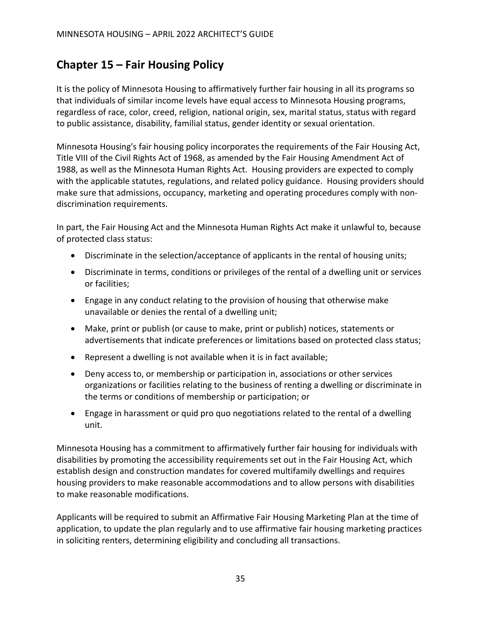## <span id="page-36-0"></span>**Chapter 15 – Fair Housing Policy**

It is the policy of Minnesota Housing to affirmatively further fair housing in all its programs so that individuals of similar income levels have equal access to Minnesota Housing programs, regardless of race, color, creed, religion, national origin, sex, marital status, status with regard to public assistance, disability, familial status, gender identity or sexual orientation.

Minnesota Housing's fair housing policy incorporates the requirements of the Fair Housing Act, Title VIII of the Civil Rights Act of 1968, as amended by the Fair Housing Amendment Act of 1988, as well as the Minnesota Human Rights Act. Housing providers are expected to comply with the applicable statutes, regulations, and related policy guidance. Housing providers should make sure that admissions, occupancy, marketing and operating procedures comply with nondiscrimination requirements.

In part, the Fair Housing Act and the Minnesota Human Rights Act make it unlawful to, because of protected class status:

- Discriminate in the selection/acceptance of applicants in the rental of housing units;
- Discriminate in terms, conditions or privileges of the rental of a dwelling unit or services or facilities;
- Engage in any conduct relating to the provision of housing that otherwise make unavailable or denies the rental of a dwelling unit;
- Make, print or publish (or cause to make, print or publish) notices, statements or advertisements that indicate preferences or limitations based on protected class status;
- Represent a dwelling is not available when it is in fact available;
- Deny access to, or membership or participation in, associations or other services organizations or facilities relating to the business of renting a dwelling or discriminate in the terms or conditions of membership or participation; or
- Engage in harassment or quid pro quo negotiations related to the rental of a dwelling unit.

Minnesota Housing has a commitment to affirmatively further fair housing for individuals with disabilities by promoting the accessibility requirements set out in the Fair Housing Act, which establish design and construction mandates for covered multifamily dwellings and requires housing providers to make reasonable accommodations and to allow persons with disabilities to make reasonable modifications.

Applicants will be required to submit an Affirmative Fair Housing Marketing Plan at the time of application, to update the plan regularly and to use affirmative fair housing marketing practices in soliciting renters, determining eligibility and concluding all transactions.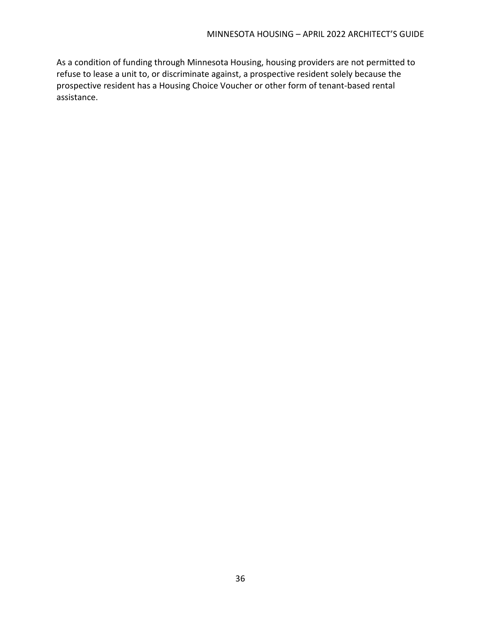As a condition of funding through Minnesota Housing, housing providers are not permitted to refuse to lease a unit to, or discriminate against, a prospective resident solely because the prospective resident has a Housing Choice Voucher or other form of tenant-based rental assistance.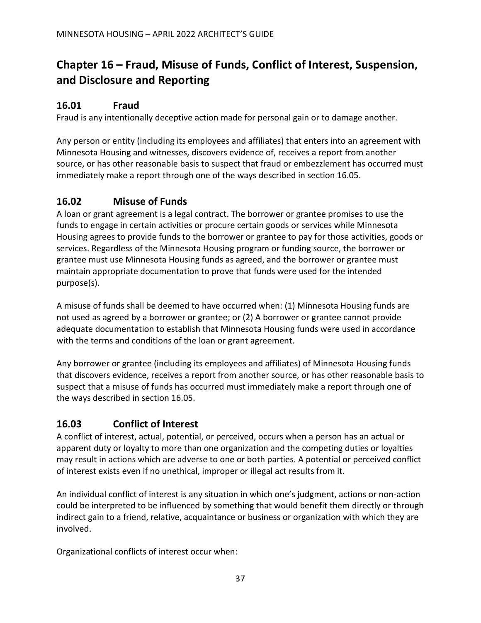# <span id="page-38-0"></span>**Chapter 16 – Fraud, Misuse of Funds, Conflict of Interest, Suspension, and Disclosure and Reporting**

#### <span id="page-38-1"></span>**16.01 Fraud**

Fraud is any intentionally deceptive action made for personal gain or to damage another.

Any person or entity (including its employees and affiliates) that enters into an agreement with Minnesota Housing and witnesses, discovers evidence of, receives a report from another source, or has other reasonable basis to suspect that fraud or embezzlement has occurred must immediately make a report through one of the ways described in section 16.05.

#### <span id="page-38-2"></span>**16.02 Misuse of Funds**

A loan or grant agreement is a legal contract. The borrower or grantee promises to use the funds to engage in certain activities or procure certain goods or services while Minnesota Housing agrees to provide funds to the borrower or grantee to pay for those activities, goods or services. Regardless of the Minnesota Housing program or funding source, the borrower or grantee must use Minnesota Housing funds as agreed, and the borrower or grantee must maintain appropriate documentation to prove that funds were used for the intended purpose(s).

A misuse of funds shall be deemed to have occurred when: (1) Minnesota Housing funds are not used as agreed by a borrower or grantee; or (2) A borrower or grantee cannot provide adequate documentation to establish that Minnesota Housing funds were used in accordance with the terms and conditions of the loan or grant agreement.

Any borrower or grantee (including its employees and affiliates) of Minnesota Housing funds that discovers evidence, receives a report from another source, or has other reasonable basis to suspect that a misuse of funds has occurred must immediately make a report through one of the ways described in section 16.05.

#### <span id="page-38-3"></span>**16.03 Conflict of Interest**

A conflict of interest, actual, potential, or perceived, occurs when a person has an actual or apparent duty or loyalty to more than one organization and the competing duties or loyalties may result in actions which are adverse to one or both parties. A potential or perceived conflict of interest exists even if no unethical, improper or illegal act results from it.

An individual conflict of interest is any situation in which one's judgment, actions or non-action could be interpreted to be influenced by something that would benefit them directly or through indirect gain to a friend, relative, acquaintance or business or organization with which they are involved.

Organizational conflicts of interest occur when: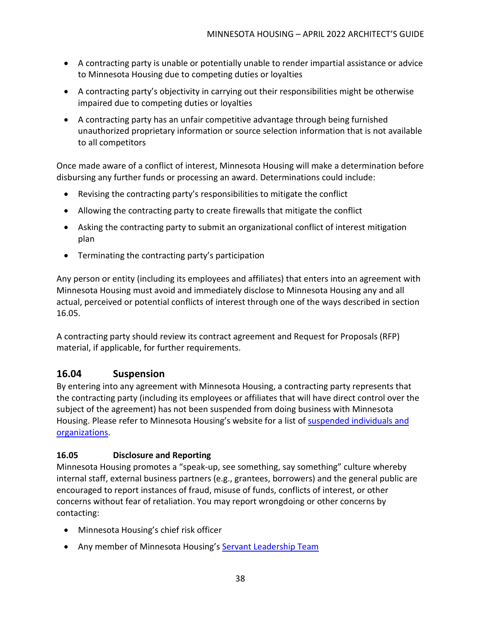- A contracting party is unable or potentially unable to render impartial assistance or advice to Minnesota Housing due to competing duties or loyalties
- A contracting party's objectivity in carrying out their responsibilities might be otherwise impaired due to competing duties or loyalties
- A contracting party has an unfair competitive advantage through being furnished unauthorized proprietary information or source selection information that is not available to all competitors

Once made aware of a conflict of interest, Minnesota Housing will make a determination before disbursing any further funds or processing an award. Determinations could include:

- Revising the contracting party's responsibilities to mitigate the conflict
- Allowing the contracting party to create firewalls that mitigate the conflict
- Asking the contracting party to submit an organizational conflict of interest mitigation plan
- Terminating the contracting party's participation

Any person or entity (including its employees and affiliates) that enters into an agreement with Minnesota Housing must avoid and immediately disclose to Minnesota Housing any and all actual, perceived or potential conflicts of interest through one of the ways described in section 16.05.

A contracting party should review its contract agreement and Request for Proposals (RFP) material, if applicable, for further requirements.

#### <span id="page-39-0"></span>**16.04 Suspension**

By entering into any agreement with Minnesota Housing, a contracting party represents that the contracting party (including its employees or affiliates that will have direct control over the subject of the agreement) has not been suspended from doing business with Minnesota Housing. Please refer to Minnesota Housing's website for a list of [suspended individuals and](https://www.mnhousing.gov/sites/np/suspensions)  [organizations.](https://www.mnhousing.gov/sites/np/suspensions)

#### <span id="page-39-1"></span>**16.05 Disclosure and Reporting**

Minnesota Housing promotes a "speak-up, see something, say something" culture whereby internal staff, external business partners (e.g., grantees, borrowers) and the general public are encouraged to report instances of fraud, misuse of funds, conflicts of interest, or other concerns without fear of retaliation. You may report wrongdoing or other concerns by contacting:

- Minnesota Housing's chief risk officer
- Any member of Minnesota Housing's [Servant Leadership Team](https://www.mnhousing.gov/sites/np/leadership)